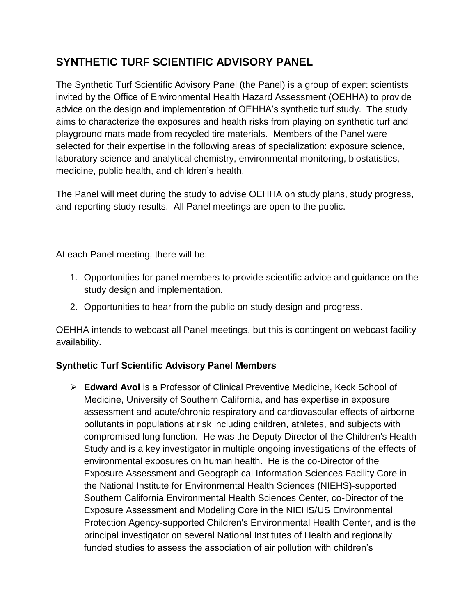## **SYNTHETIC TURF SCIENTIFIC ADVISORY PANEL**

The Synthetic Turf Scientific Advisory Panel (the Panel) is a group of expert scientists invited by the Office of Environmental Health Hazard Assessment (OEHHA) to provide advice on the design and implementation of OEHHA's synthetic turf study. The study aims to characterize the exposures and health risks from playing on synthetic turf and playground mats made from recycled tire materials. Members of the Panel were selected for their expertise in the following areas of specialization: exposure science, laboratory science and analytical chemistry, environmental monitoring, biostatistics, medicine, public health, and children's health.

The Panel will meet during the study to advise OEHHA on study plans, study progress, and reporting study results. All Panel meetings are open to the public.

At each Panel meeting, there will be:

- 1. Opportunities for panel members to provide scientific advice and guidance on the study design and implementation.
- 2. Opportunities to hear from the public on study design and progress.

OEHHA intends to webcast all Panel meetings, but this is contingent on webcast facility availability.

## **Synthetic Turf Scientific Advisory Panel Members**

 **Edward Avol** is a Professor of Clinical Preventive Medicine, Keck School of Medicine, University of Southern California, and has expertise in exposure assessment and acute/chronic respiratory and cardiovascular effects of airborne pollutants in populations at risk including children, athletes, and subjects with compromised lung function. He was the Deputy Director of the Children's Health Study and is a key investigator in multiple ongoing investigations of the effects of environmental exposures on human health. He is the co-Director of the Exposure Assessment and Geographical Information Sciences Facility Core in the National Institute for Environmental Health Sciences (NIEHS)-supported Southern California Environmental Health Sciences Center, co-Director of the Exposure Assessment and Modeling Core in the NIEHS/US Environmental Protection Agency-supported Children's Environmental Health Center, and is the principal investigator on several National Institutes of Health and regionally funded studies to assess the association of air pollution with children's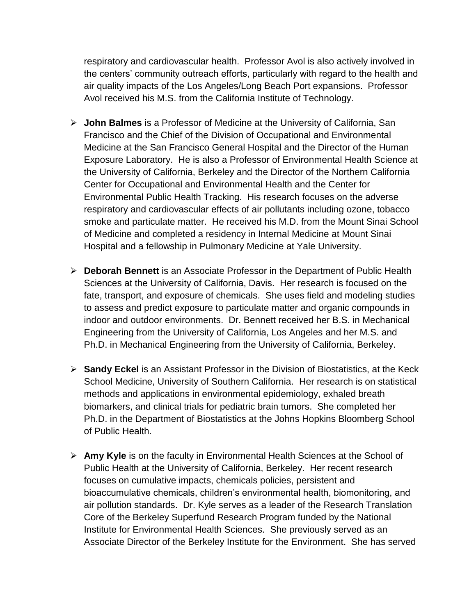respiratory and cardiovascular health. Professor Avol is also actively involved in the centers' community outreach efforts, particularly with regard to the health and air quality impacts of the Los Angeles/Long Beach Port expansions. Professor Avol received his M.S. from the California Institute of Technology.

- **John Balmes** is a Professor of Medicine at the University of California, San Francisco and the Chief of the Division of Occupational and Environmental Medicine at the San Francisco General Hospital and the Director of the Human Exposure Laboratory. He is also a Professor of Environmental Health Science at the University of California, Berkeley and the Director of the Northern California Center for Occupational and Environmental Health and the Center for Environmental Public Health Tracking. His research focuses on the adverse respiratory and cardiovascular effects of air pollutants including ozone, tobacco smoke and particulate matter. He received his M.D. from the Mount Sinai School of Medicine and completed a residency in Internal Medicine at Mount Sinai Hospital and a fellowship in Pulmonary Medicine at Yale University.
- **Deborah Bennett** is an Associate Professor in the Department of Public Health Sciences at the University of California, Davis. Her research is focused on the fate, transport, and exposure of chemicals. She uses field and modeling studies to assess and predict exposure to particulate matter and organic compounds in indoor and outdoor environments. Dr. Bennett received her B.S. in Mechanical Engineering from the University of California, Los Angeles and her M.S. and Ph.D. in Mechanical Engineering from the University of California, Berkeley.
- **Sandy Eckel** is an Assistant Professor in the Division of Biostatistics, at the Keck School Medicine, University of Southern California. Her research is on statistical methods and applications in environmental epidemiology, exhaled breath biomarkers, and clinical trials for pediatric brain tumors. She completed her Ph.D. in the Department of Biostatistics at the Johns Hopkins Bloomberg School of Public Health.
- **Amy Kyle** is on the faculty in Environmental Health Sciences at the School of Public Health at the University of California, Berkeley. Her recent research focuses on cumulative impacts, chemicals policies, persistent and bioaccumulative chemicals, children's environmental health, biomonitoring, and air pollution standards. Dr. Kyle serves as a leader of the Research Translation Core of the Berkeley Superfund Research Program funded by the National Institute for Environmental Health Sciences. She previously served as an Associate Director of the Berkeley Institute for the Environment. She has served